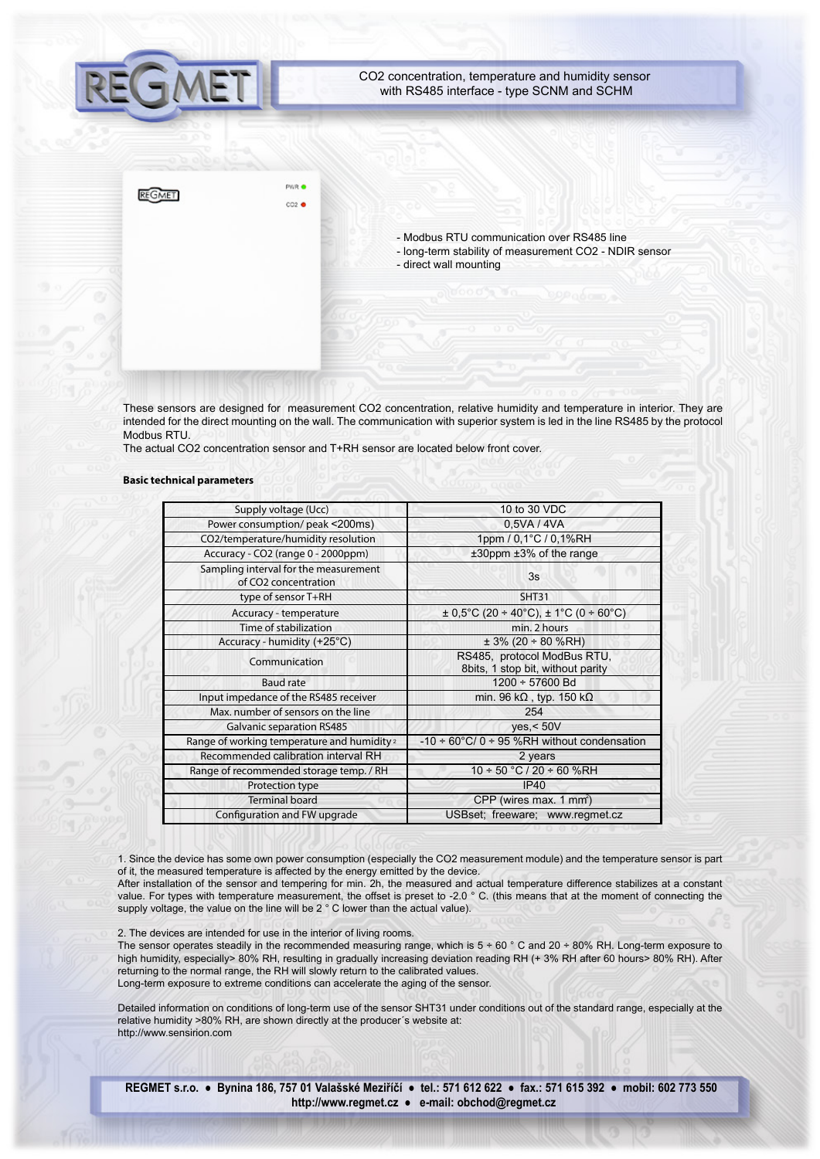

These sensors are designed for measurement CO2 concentration, relative humidity and temperature in interior. They are intended for the direct mounting on the wall. The communication with superior system is led in the line RS485 by the protocol Modbus RTU.

The actual CO2 concentration sensor and T+RH sensor are located below front cover.

#### **Basic technical parameters**

| Supply voltage (Ucc)                                                      | 10 to 30 VDC                                                     |
|---------------------------------------------------------------------------|------------------------------------------------------------------|
| Power consumption/ peak <200ms)                                           | 0,5VA / 4VA                                                      |
| CO2/temperature/humidity resolution                                       | 1ppm / 0.1°C / 0.1%RH                                            |
| Accuracy - CO2 (range 0 - 2000ppm)                                        | $±30$ ppm $±3%$ of the range                                     |
| Sampling interval for the measurement<br>of CO <sub>2</sub> concentration | 3s                                                               |
| type of sensor T+RH                                                       | <b>SHT31</b>                                                     |
| Accuracy - temperature                                                    | $\pm$ 0,5°C (20 ÷ 40°C), $\pm$ 1°C (0 ÷ 60°C)                    |
| Time of stabilization                                                     | min. 2 hours                                                     |
| Accuracy - humidity (+25°C)                                               | $± 3\% (20 ÷ 80 \% RH)$                                          |
| Communication                                                             | RS485, protocol ModBus RTU,<br>8bits, 1 stop bit, without parity |
| <b>Baud rate</b>                                                          | 1200 ÷ 57600 Bd                                                  |
| Input impedance of the RS485 receiver                                     | min. 96 k $\Omega$ , typ. 150 k $\Omega$                         |
| Max, number of sensors on the line                                        | 254                                                              |
| <b>Galvanic separation RS485</b>                                          | ves < 50V                                                        |
| Range of working temperature and humidity <sup>2</sup>                    | -10 $\div$ 60°C/ 0 $\div$ 95 %RH without condensation            |
| Recommended calibration interval RH                                       | 2 years                                                          |
| Range of recommended storage temp. / RH                                   | $10 \div 50$ °C / 20 $\div 60$ %RH                               |
| Protection type                                                           | IP40                                                             |
| <b>Terminal board</b>                                                     | CPP (wires max. 1 mm <sup>2</sup> )                              |
| Configuration and FW upgrade                                              | USBset; freeware; www.regmet.cz                                  |

1. Since the device has some own power consumption (especially the CO2 measurement module) and the temperature sensor is part of it, the measured temperature is affected by the energy emitted by the device.

After installation of the sensor and tempering for min. 2h, the measured and actual temperature difference stabilizes at a constant value. For types with temperature measurement, the offset is preset to -2.0 ° C. (this means that at the moment of connecting the supply voltage, the value on the line will be 2 ° C lower than the actual value).

2. The devices are intended for use in the interior of living rooms.

The sensor operates steadily in the recommended measuring range, which is  $5 \div 60$  ° C and 20  $\div 80$ % RH. Long-term exposure to high humidity, especially> 80% RH, resulting in gradually increasing deviation reading RH (+ 3% RH after 60 hours> 80% RH). After returning to the normal range, the RH will slowly return to the calibrated values. Long-term exposure to extreme conditions can accelerate the aging of the sensor.

Detailed information on conditions of long-term use of the sensor SHT31 under conditions out of the standard range, especially at the relative humidity >80% RH, are shown directly at the producer´s website at: http://www.sensirion.com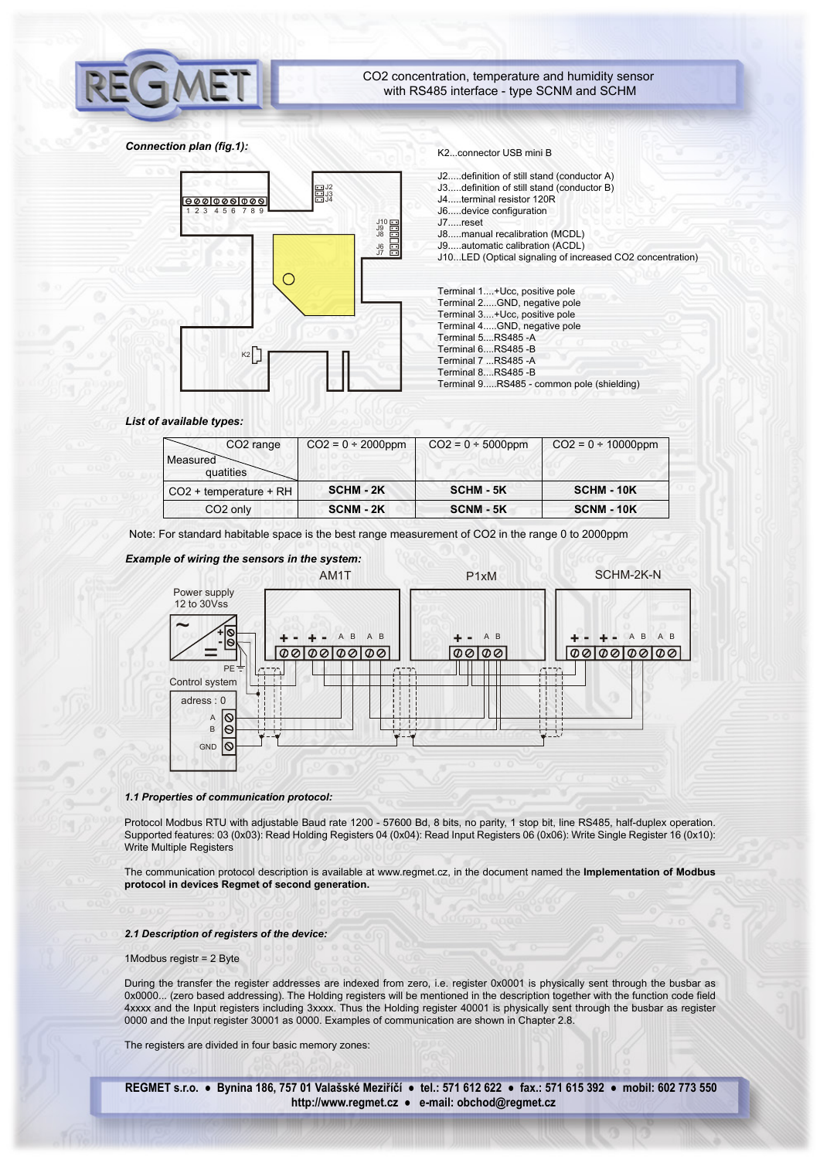

# *Connection plan (fig.1):*

 $1 5 6 7 8$ 

 $|000|000|000|$ 

K2



- J2.....definition of still stand (conductor A)
- J3.....definition of still stand (conductor B)
- J4.....terminal resistor 120R J6.....device configuration
- J7.....reset
- J8.....manual recalibration (MCDL)
- J9.....automatic calibration (ACDL)

J10...LED (Optical signaling of increased CO2 concentration)

| Terminal 1+Ucc, positive pole             |
|-------------------------------------------|
| Terminal 2GND, negative pole              |
| Terminal 3+Ucc, positive pole             |
| Terminal 4GND, negative pole              |
| Terminal 5, RS485 - A                     |
| Terminal 6, RS485 -B                      |
| Terminal 7 RS485 -A                       |
| Terminal 8, RS485 - B                     |
| Terminal 9RS485 - common pole (shielding) |

# *List of available types:*

| CO <sub>2</sub> range              | $CO2 = 0 \div 2000$ ppm | $CO2 = 0 \div 5000$ ppm | $CO2 = 0 \div 10000$ ppm |
|------------------------------------|-------------------------|-------------------------|--------------------------|
| Measured                           |                         |                         |                          |
| quatities                          |                         |                         |                          |
| CO <sub>2</sub> + temperature + RH | <b>SCHM - 2K</b>        | <b>SCHM - 5K</b>        | <b>SCHM - 10K</b>        |
| CO <sub>2</sub> only               | SCNM - 2K               | <b>SCNM - 5K</b>        | <b>SCNM - 10K</b>        |

Note: For standard habitable space is the best range measurement of CO2 in the range 0 to 2000ppm

J9 J10 J8 J6 J7

J3 J2 J4



#### *1.1 Properties of communication protocol:*

Protocol Modbus RTU with adjustable Baud rate 1200 - 57600 Bd, 8 bits, no parity, 1 stop bit, line RS485, half-duplex operation. Supported features: 03 (0x03): Read Holding Registers 04 (0x04): Read Input Registers 06 (0x06): Write Single Register 16 (0x10): Write Multiple Registers

The communication protocol description is available at www.regmet.cz, in the document named the **Implementation of Modbus protocol in devices Regmet of second generation.**

### *2.1 Description of registers of the device:*

## 1Modbus registr = 2 Byte

During the transfer the register addresses are indexed from zero, i.e. register 0x0001 is physically sent through the busbar as 0x0000... (zero based addressing). The Holding registers will be mentioned in the description together with the function code field 4xxxx and the Input registers including 3xxxx. Thus the Holding register 40001 is physically sent through the busbar as register 0000 and the Input register 30001 as 0000. Examples of communication are shown in Chapter 2.8.

The registers are divided in four basic memory zones: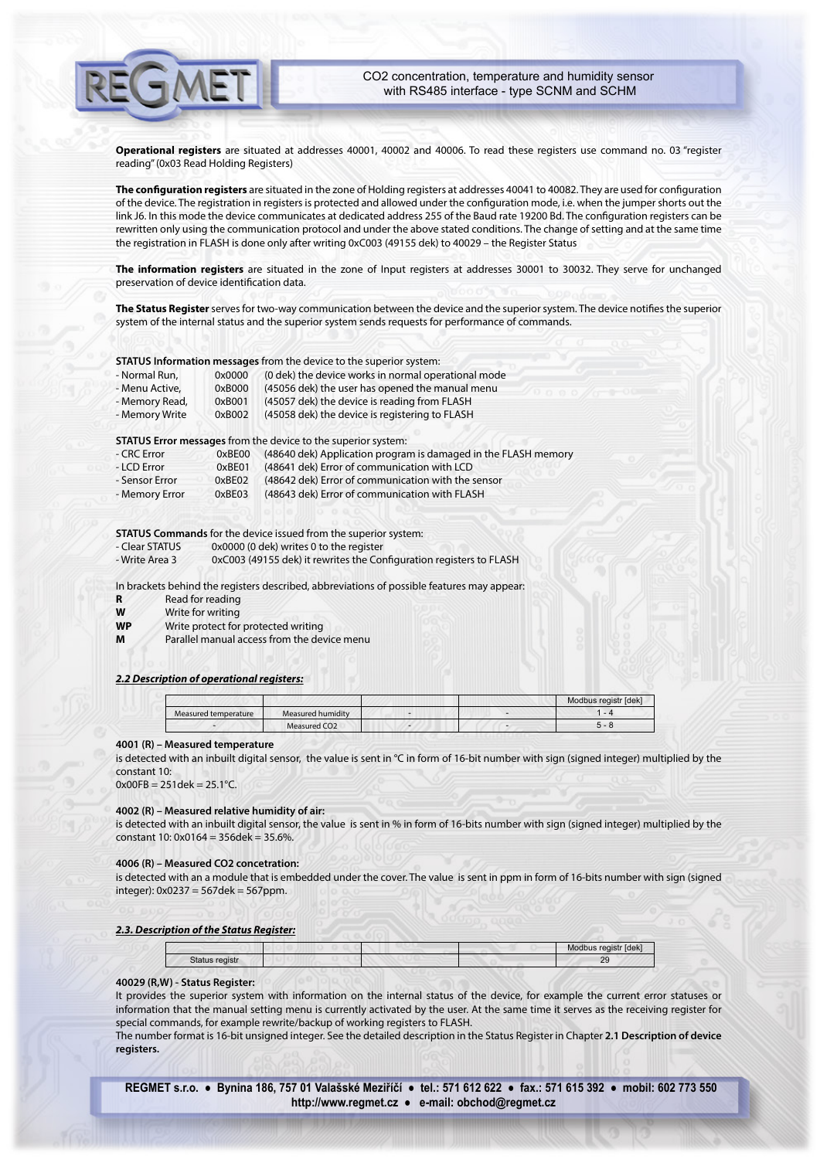**Operational registers** are situated at addresses 40001, 40002 and 40006. To read these registers use command no. 03 "register reading" (0x03 Read Holding Registers)

The configuration registers are situated in the zone of Holding registers at addresses 40041 to 40082. They are used for configuration of the device. The registration in registers is protected and allowed under the conguration mode, i.e. when the jumper shorts out the link J6. In this mode the device communicates at dedicated address 255 of the Baud rate 19200 Bd. The configuration registers can be rewritten only using the communication protocol and under the above stated conditions. The change of setting and at the same time the registration in FLASH is done only after writing 0xC003 (49155 dek) to 40029 – the Register Status

**The information registers** are situated in the zone of Input registers at addresses 30001 to 30032. They serve for unchanged preservation of device identification data.

The Status Register serves for two-way communication between the device and the superior system. The device notifies the superior system of the internal status and the superior system sends requests for performance of commands.

**STATUS Information messages** from the device to the superior system:

| - Normal Run,  | 0x0000 | (0 dek) the device works in normal operational mode |
|----------------|--------|-----------------------------------------------------|
| - Menu Active, | 0xB000 | (45056 dek) the user has opened the manual menu     |
| - Memory Read, | 0xB001 | (45057 dek) the device is reading from FLASH        |
| - Memory Write | 0xB002 | (45058 dek) the device is registering to FLASH      |

**STATUS Error messages** from the device to the superior system:

| - CRC Error    | 0xBE00 | (48640 dek) Application program is damaged in the FLASH memory |
|----------------|--------|----------------------------------------------------------------|
| - LCD Error    | 0xBE01 | (48641 dek) Error of communication with LCD                    |
| - Sensor Error | 0xBE02 | (48642 dek) Error of communication with the sensor             |
| - Memory Error | 0xBE03 | (48643 dek) Error of communication with FLASH                  |

**STATUS Commands** for the device issued from the superior system:

- Clear STATUS 0x0000 (0 dek) writes 0 to the register

- Write Area 3 0xC003 (49155 dek) it rewrites the Configuration registers to FLASH

In brackets behind the registers described, abbreviations of possible features may appear:

| Read for reading |
|------------------|
|                  |

**W** Write for writing

**WP** Write protect for protected writing

**M** Parallel manual access from the device menu

# *2.2 Description of operational registers:*

|                      |                          |   | Modbus registr [dek] |
|----------------------|--------------------------|---|----------------------|
| Measured temperature | Measured humidity        | - | $ \cdot$ $\cdot$     |
|                      | Measured CO <sub>2</sub> |   |                      |

# **4001 (R) – Measured temperature**

is detected with an inbuilt digital sensor, the value is sent in °C in form of 16-bit number with sign (signed integer) multiplied by the constant 10:

 $0x00FB = 251$ dek =  $25.1^{\circ}$ C.

# **4002 (R) – Measured relative humidity of air:**

is detected with an inbuilt digital sensor, the value is sent in % in form of 16-bits number with sign (signed integer) multiplied by the constant 10: 0x0164 = 356dek = 35.6%.

#### **4006 (R) – Measured CO2 concetration:**

is detected with an a module that is embedded under the cover. The value is sent in ppm in form of 16-bits number with sign (signed  $integer): 0x0237 = 567$ dek = 567ppm.

#### *2.3. Description of the Status Register:*

|                | Modbus registr [dek] |
|----------------|----------------------|
| Status registr | ΖJ                   |

# **40029 (R,W) - Status Register:**

It provides the superior system with information on the internal status of the device, for example the current error statuses or information that the manual setting menu is currently activated by the user. At the same time it serves as the receiving register for special commands, for example rewrite/backup of working registers to FLASH.

The number format is 16-bit unsigned integer. See the detailed description in the Status Register in Chapter **2.1 Description of device registers.**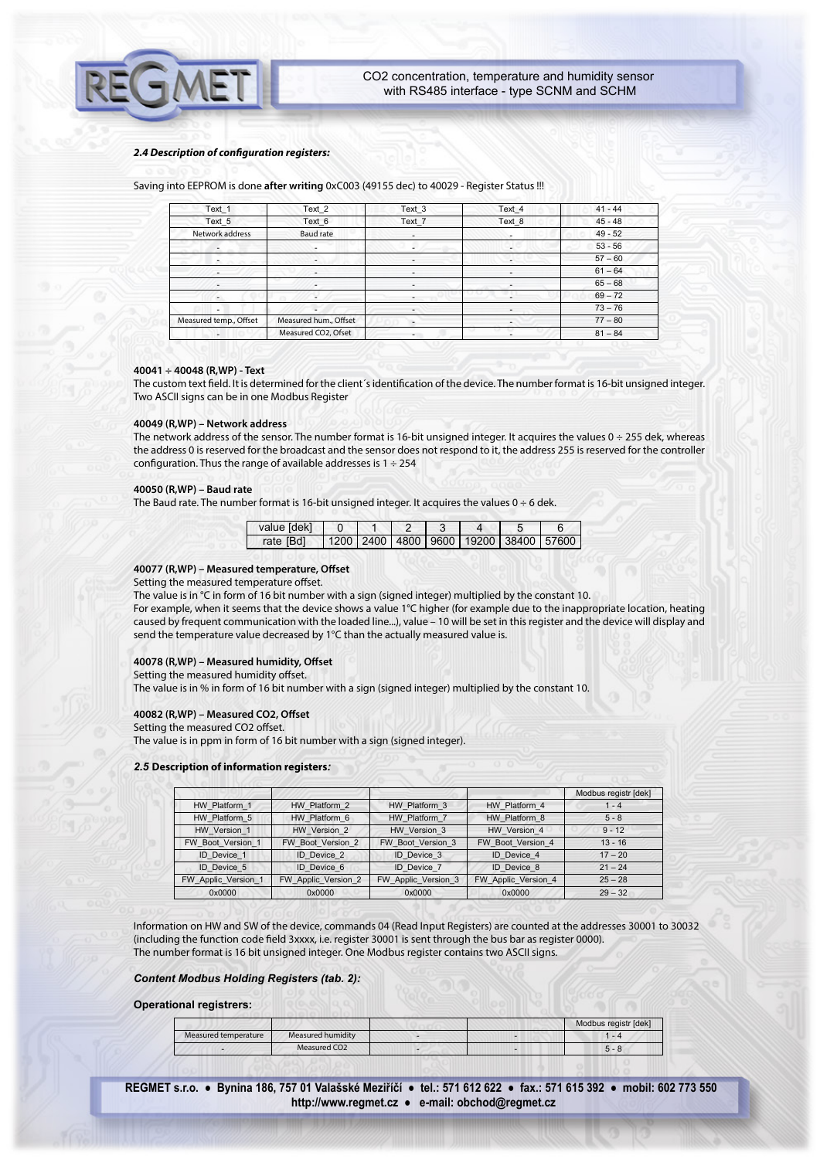#### *2.4 Description of conguration registers:*

Saving into EEPROM is done **after writing** 0xC003 (49155 dec) to 40029 - Register Status !!!

| Text_1                 | Text_2                   | Text <sub>3</sub>        | Text_4                                                                                                                                                                                                                                                                                                                                                                                                                                                                     | $41 - 44$ |
|------------------------|--------------------------|--------------------------|----------------------------------------------------------------------------------------------------------------------------------------------------------------------------------------------------------------------------------------------------------------------------------------------------------------------------------------------------------------------------------------------------------------------------------------------------------------------------|-----------|
| Text 5                 | Text 6                   | Text 7                   | Text 8                                                                                                                                                                                                                                                                                                                                                                                                                                                                     | $45 - 48$ |
| Network address        | <b>Baud rate</b>         | ۰                        | ٠                                                                                                                                                                                                                                                                                                                                                                                                                                                                          | $49 - 52$ |
|                        | ٠                        |                          | ٠                                                                                                                                                                                                                                                                                                                                                                                                                                                                          | $53 - 56$ |
| $\sim$                 |                          |                          | $\frac{1}{2} \left( \frac{1}{2} \right) \left( \frac{1}{2} \right) \left( \frac{1}{2} \right) \left( \frac{1}{2} \right) \left( \frac{1}{2} \right) \left( \frac{1}{2} \right) \left( \frac{1}{2} \right) \left( \frac{1}{2} \right) \left( \frac{1}{2} \right) \left( \frac{1}{2} \right) \left( \frac{1}{2} \right) \left( \frac{1}{2} \right) \left( \frac{1}{2} \right) \left( \frac{1}{2} \right) \left( \frac{1}{2} \right) \left( \frac{1}{2} \right) \left( \frac$ | $57 - 60$ |
| ٠                      | $\overline{\phantom{a}}$ |                          |                                                                                                                                                                                                                                                                                                                                                                                                                                                                            | $61 - 64$ |
| ٠                      |                          |                          |                                                                                                                                                                                                                                                                                                                                                                                                                                                                            | $65 - 68$ |
| ٠                      | ٠                        | ۰                        |                                                                                                                                                                                                                                                                                                                                                                                                                                                                            | $69 - 72$ |
| ٠                      |                          | $\overline{\phantom{a}}$ |                                                                                                                                                                                                                                                                                                                                                                                                                                                                            | $73 - 76$ |
| Measured temp., Offset | Measured hum., Offset    | $\overline{\phantom{a}}$ | ۰                                                                                                                                                                                                                                                                                                                                                                                                                                                                          | $77 - 80$ |
|                        | Measured CO2, Ofset      |                          |                                                                                                                                                                                                                                                                                                                                                                                                                                                                            | $81 - 84$ |

# **40041 ÷ 40048 (R,WP) - Text**

The custom text field. It is determined for the client's identification of the device. The number format is 16-bit unsigned integer. Two ASCII signs can be in one Modbus Register

#### **40049 (R,WP) – Network address**

The network address of the sensor. The number format is 16-bit unsigned integer. It acquires the values  $0 \div 255$  dek, whereas the address 0 is reserved for the broadcast and the sensor does not respond to it, the address 255 is reserved for the controller configuration. Thus the range of available addresses is  $1 \div 254$ 

## **40050 (R,WP) – Baud rate**

The Baud rate. The number format is 16-bit unsigned integer. It acquires the values  $0 \div 6$  dek.

| value [dek] |  |  |                                                   |  |
|-------------|--|--|---------------------------------------------------|--|
| rate [Bd]   |  |  | 1200   2400   4800   9600   19200   38400   57600 |  |

# 40077 (R,WP) – Measured temperature, Offset

Setting the measured temperature offset.

The value is in °C in form of 16 bit number with a sign (signed integer) multiplied by the constant 10.

For example, when it seems that the device shows a value 1°C higher (for example due to the inappropriate location, heating caused by frequent communication with the loaded line...), value – 10 will be set in this register and the device will display and send the temperature value decreased by 1°C than the actually measured value is.

# 40078 (R,WP) - Measured humidity, Offset

Setting the measured humidity offset.

The value is in % in form of 16 bit number with a sign (signed integer) multiplied by the constant 10.

# 40082 (R,WP) - Measured CO2, Offset

Setting the measured CO2 offset.

The value is in ppm in form of 16 bit number with a sign (signed integer).

# *2.5* **Description of information registers***:*

|                     |                     |                     |                     | Modbus registr [dek] |
|---------------------|---------------------|---------------------|---------------------|----------------------|
| HW Platform 1       | HW Platform 2       | HW Platform 3       | HW Platform 4       | 1 - 4                |
| HW Platform 5       | HW Platform 6       | HW Platform 7       | HW Platform 8       | $5 - 8$              |
| HW Version 1        | HW Version 2        | HW Version 3        | HW Version 4        | $9 - 12$             |
| FW Boot Version 1   | FW Boot Version 2   | FW Boot Version 3   | FW Boot Version 4   | $13 - 16$            |
| ID Device 1         | <b>ID</b> Device 2  | ID Device 3         | ID Device 4         | $17 - 20$            |
| <b>ID</b> Device 5  | ID Device 6         | <b>ID</b> Device 7  | ID Device 8         | $21 - 24$            |
| FW Applic Version 1 | FW Applic Version 2 | FW Applic Version 3 | FW Applic Version 4 | $25 - 28$            |
| 0x0000              | 0x0000              | 0x0000              | 0x0000              | $29 - 32$            |

Information on HW and SW of the device, commands 04 (Read Input Registers) are counted at the addresses 30001 to 30032 (including the function code field 3xxxx, i.e. register 30001 is sent through the bus bar as register 0000). The number format is 16 bit unsigned integer. One Modbus register contains two ASCII signs.

*Content Modbus Holding Registers (tab. 2):*

# **Operational registrers:**

|                      |                          |  | Modbus registr [dek] |
|----------------------|--------------------------|--|----------------------|
| Measured temperature | Measured humidity        |  | $-4$                 |
|                      | Measured CO <sub>2</sub> |  |                      |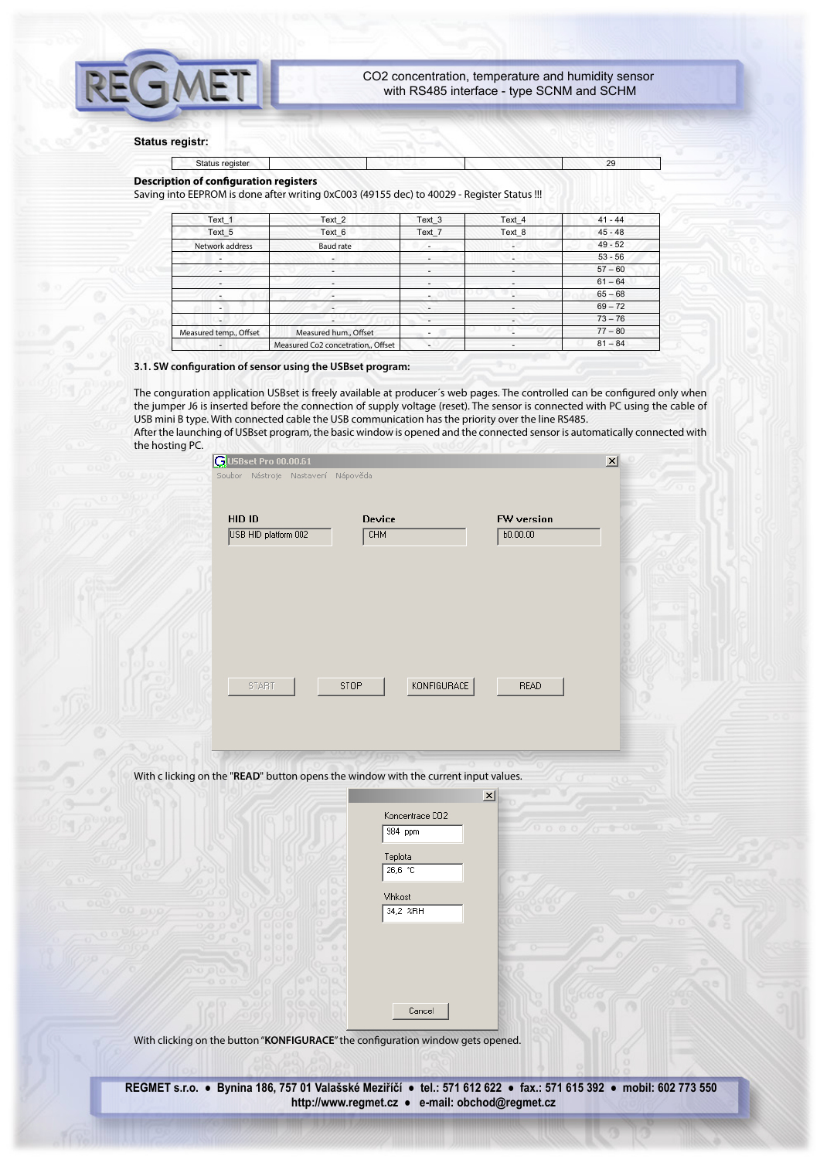# **Status registr:**

# Status register 29

# **Description of configuration registers**

Saving into EEPROM is done after writing 0xC003 (49155 dec) to 40029 - Register Status !!!

| Text 1                   | Text <sub>2</sub>                  | Text 3                   | Text 4                   | $41 - 44$ |  |
|--------------------------|------------------------------------|--------------------------|--------------------------|-----------|--|
| Text 5                   | Text 6                             | Text 7                   | Text 8                   | $45 - 48$ |  |
| Network address          | Baud rate                          |                          |                          | $49 - 52$ |  |
|                          | ۰                                  | $\overline{\phantom{a}}$ |                          | $53 - 56$ |  |
| ۰                        |                                    |                          |                          | $57 - 60$ |  |
|                          |                                    |                          |                          | $61 - 64$ |  |
| $\overline{\phantom{a}}$ |                                    |                          | $\overline{\phantom{a}}$ | $65 - 68$ |  |
| $\overline{\phantom{a}}$ | ٠                                  |                          |                          | $69 - 72$ |  |
|                          |                                    | $\overline{a}$           | ۰.                       | $73 - 76$ |  |
| Measured temp., Offset   | Measured hum., Offset              |                          |                          | $77 - 80$ |  |
| ٠                        | Measured Co2 concetration,, Offset |                          | ٠                        | $81 - 84$ |  |

## **3.1. SW conguration of sensor using the USBset program:**

The conguration application USBset is freely available at producer's web pages. The controlled can be configured only when the jumper J6 is inserted before the connection of supply voltage (reset). The sensor is connected with PC using the cable of USB mini B type. With connected cable the USB communication has the priority over the line RS485. After the launching of USBset program, the basic window is opened and the connected sensor is automatically connected with the hosting PC.

| <b>GUSBset Pro 00.00.61</b><br>Soubor Nástroje Nastavení Nápověda |                            |                        |
|-------------------------------------------------------------------|----------------------------|------------------------|
| HID ID<br>USB HID platform 002                                    | Device<br><b>CHM</b>       | FW version<br>b0.00.00 |
|                                                                   |                            |                        |
| <b>START</b>                                                      | KONFIGURACE<br><b>STOP</b> | <b>READ</b>            |
|                                                                   |                            |                        |

With c licking on the "**READ**" button opens the window with the current input values.

| Koncentrace CO2 |  |
|-----------------|--|
| 984 ppm         |  |
| Teplota         |  |
| 26,6 °C         |  |
| Vihkost         |  |
| 34,2 %RH        |  |
|                 |  |
|                 |  |
|                 |  |
|                 |  |
|                 |  |

 $\vert x \vert$ 

With clicking on the button "KONFIGURACE" the configuration window gets opened.

**REGMET s.r.o. ● Bynina 186, 757 01 Valašské Meziříčí ● tel.: 571 612 622 ● fax.: 571 615 392 ● mobil: 602 773 550 http://www.regmet.cz ● e-mail: obchod@regmet.cz** 

 $Cancel$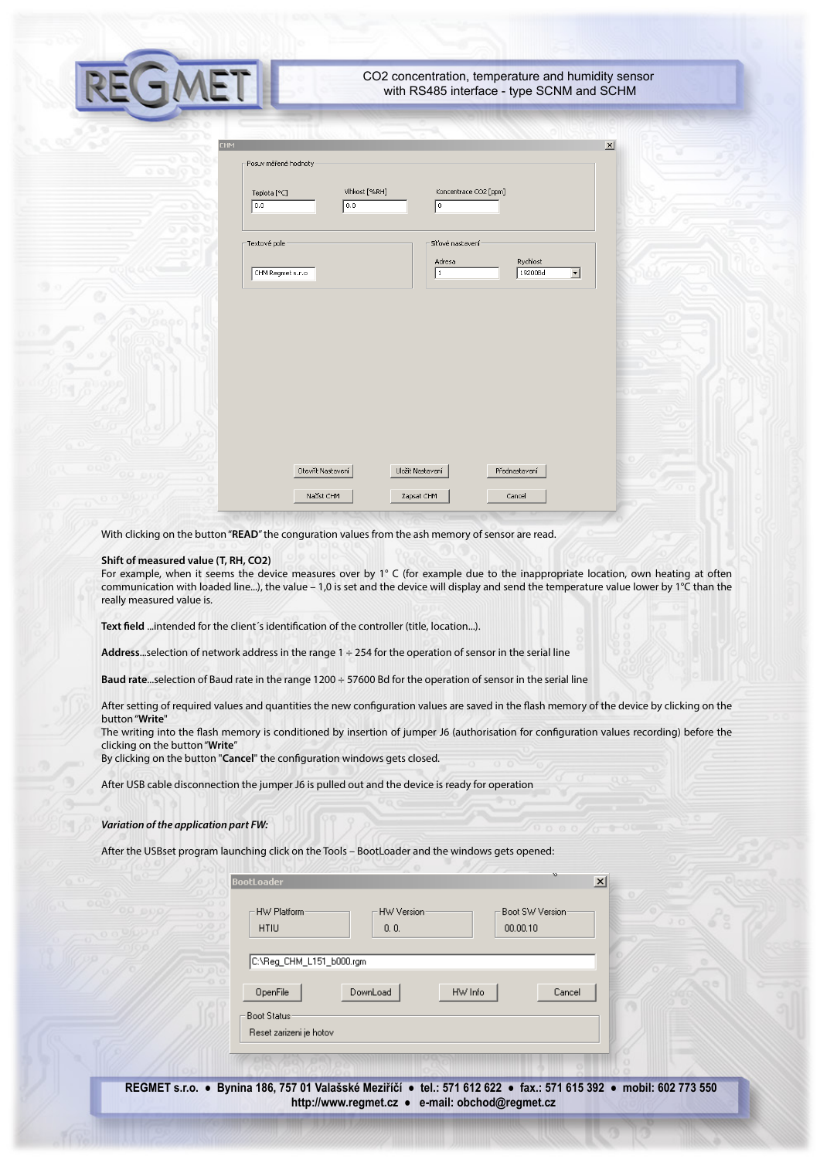| CO2 concentration, temperature and humidity sensor |
|----------------------------------------------------|
| with RS485 interface - type SCNM and SCHM          |

| Posuv měřené hodnoty |                      |                                         |                                     |
|----------------------|----------------------|-----------------------------------------|-------------------------------------|
| Teplota [°C]<br>0.0  | Vlhkost [%RH]<br>0.0 | Koncentrace CO2 [ppm]<br>$\overline{0}$ |                                     |
| Textové pole         |                      | Síťové nastavení<br>Adresa              | Rychlost                            |
| CHM Regmet s.r.o     |                      | 1                                       | 19200Bd<br>$\vert \mathbf{v} \vert$ |
|                      |                      |                                         |                                     |
|                      |                      |                                         |                                     |
|                      |                      |                                         |                                     |
| Otevřít Nastavení    |                      | Uložit Nastavení                        | Přednastavení                       |

With clicking on the button "**READ**" the conguration values from the ash memory of sensor are read.

## **Shift of measured value (T, RH, CO2)**

**SMET** 

For example, when it seems the device measures over by 1° C (for example due to the inappropriate location, own heating at often communication with loaded line...), the value – 1,0 is set and the device will display and send the temperature value lower by 1°C than the really measured value is.

Text field ...intended for the client's identification of the controller (title, location...).

**Address**...selection of network address in the range 1 ÷ 254 for the operation of sensor in the serial line

**Baud rate**...selection of Baud rate in the range 1200 ÷ 57600 Bd for the operation of sensor in the serial line

After setting of required values and quantities the new configuration values are saved in the flash memory of the device by clicking on the button "**Write**"

The writing into the flash memory is conditioned by insertion of jumper J6 (authorisation for configuration values recording) before the clicking on the button "**Write**"

By clicking on the button "Cancel" the configuration windows gets closed.

After USB cable disconnection the jumper J6 is pulled out and the device is ready for operation

## *Variation of the application part FW:*

After the USBset program launching click on the Tools – BootLoader and the windows gets opened:

| <b>BootLoader</b>                              |                    |          | $\infty$         |
|------------------------------------------------|--------------------|----------|------------------|
| HW Platform<br><b>HTIU</b>                     | HW Version<br>0.0. | 00.00.10 | Boot SW Version: |
| C:\Reg_CHM_L151_b000.rgm                       |                    |          |                  |
| OpenFile                                       | DownLoad           | HW Info  | Cancel           |
| <b>Boot Status:</b><br>Reset zarizeni je hotov |                    |          |                  |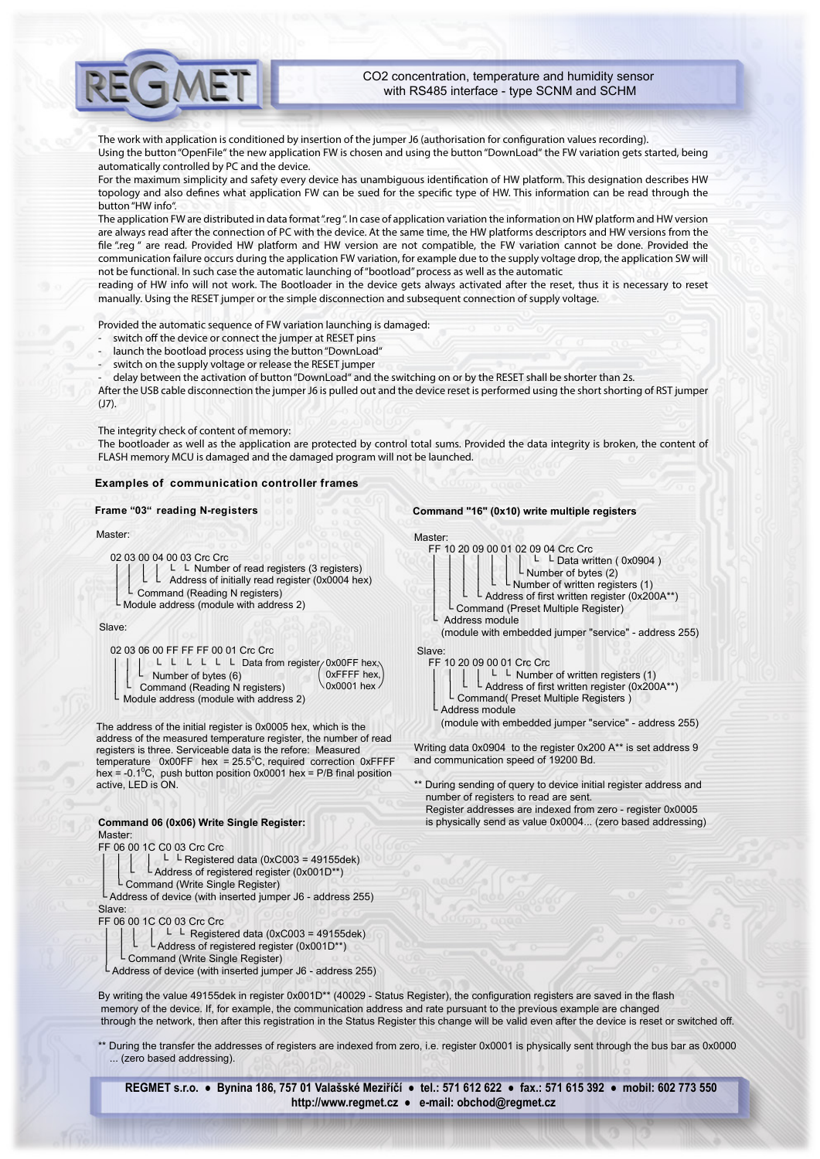The work with application is conditioned by insertion of the jumper J6 (authorisation for configuration values recording). Using the button "OpenFile" the new application FW is chosen and using the button "DownLoad" the FW variation gets started, being automatically controlled by PC and the device.

For the maximum simplicity and safety every device has unambiguous identification of HW platform. This designation describes HW topology and also defines what application FW can be sued for the specific type of HW. This information can be read through the button "HW info".

The application FW are distributed in data format ".reg ". In case of application variation the information on HW platform and HW version are always read after the connection of PC with the device. At the same time, the HW platforms descriptors and HW versions from the file "reg " are read. Provided HW platform and HW version are not compatible, the FW variation cannot be done. Provided the communication failure occurs during the application FW variation, for example due to the supply voltage drop, the application SW will not be functional. In such case the automatic launching of "bootload" process as well as the automatic

reading of HW info will not work. The Bootloader in the device gets always activated after the reset, thus it is necessary to reset manually. Using the RESET jumper or the simple disconnection and subsequent connection of supply voltage.

Provided the automatic sequence of FW variation launching is damaged:

- switch off the device or connect the jumper at RESET pins
- launch the bootload process using the button "DownLoad"
- switch on the supply voltage or release the RESET jumper
- delay between the activation of button "DownLoad" and the switching on or by the RESET shall be shorter than 2s.

After the USB cable disconnection the jumper J6 is pulled out and the device reset is performed using the short shorting of RST jumper (J7).

The integrity check of content of memory:

The bootloader as well as the application are protected by control total sums. Provided the data integrity is broken, the content of FLASH memory MCU is damaged and the damaged program will not be launched.

#### **Examples of communication controller frames**

#### **Frame "03" reading N-registers**

#### Master:

02 03 00 04 00 03 Crc Crc<br> $\begin{bmatrix} \begin{bmatrix} \end{bmatrix} & \begin{bmatrix} \end{bmatrix} & \begin{bmatrix} \end{bmatrix} & \begin{bmatrix} \end{bmatrix} & \begin{bmatrix} \end{bmatrix} & \begin{bmatrix} \end{bmatrix} & \begin{bmatrix} \end{bmatrix} & \begin{bmatrix} \end{bmatrix} & \begin{bmatrix} \end{bmatrix} & \begin{bmatrix} \end{bmatrix} & \begin{bmatrix} \end{bmatrix} & \begin{bmatrix} \end{bmatrix} & \begin{bmatrix} \end{bmatrix} & \begin{bmatrix} \end{bmatrix} & \begin{bmatrix}$ │ │ └ └ Number of read registers (3 registers) Address of initially read register (0x0004 hex) │ │

Command (Reading N registers) └ └ │ │ │ └

 $L$  Module address (module with address 2)

#### Slave:

└

#### 02 03 06 00 FF FF FF 00 01 Crc Crc

|                         |  |  |  | L L L L L Data from register/0x00FF hex.   |                   |
|-------------------------|--|--|--|--------------------------------------------|-------------------|
| L Number of bytes $(6)$ |  |  |  |                                            | $OxFFFF$ hex,     |
|                         |  |  |  | $L$ Command (Reading N registers)          | $\log 0001$ hex / |
|                         |  |  |  | $L$ Module address (module with address 2) |                   |

The address of the initial register is 0x0005 hex, which is the address of the measured temperature register, the number of read registers is three. Serviceable data is the refore: Measured temperature  $0x00FF$  hex = 25.5°C, required correction 0xFFFF hex = -0.1<sup>o</sup>C, push button position 0x0001 hex = P/B final position active, LED is ON.

# **Command 06 (0x06) Write Single Register:** Master:

FF 06 00 1C C0 03 Crc Crc

- │ │ │ │ └ └ Registered data (0xC003 = 49155dek) L Address of registered register (0x001D\*\*)
- Command (Write Single Register)

Address of device (with inserted jumper J6 - address 255) Slave:

FF 06 00 1C C0 03 Crc Crc

- │ │ │ │ └ └ Registered data (0xC003 = 49155dek)
- L Address of registered register (0x001D\*\*)
- Command (Write Single Register)

└ Address of device (with inserted jumper J6 - address 255)

By writing the value 49155dek in register 0x001D\*\* (40029 - Status Register), the configuration registers are saved in the flash memory of the device. If, for example, the communication address and rate pursuant to the previous example are changed through the network, then after this registration in the Status Register this change will be valid even after the device is reset or switched off.

\*\* During the transfer the addresses of registers are indexed from zero, i.e. register 0x0001 is physically sent through the bus bar as 0x0000 ... (zero based addressing).

**REGMET s.r.o. ● Bynina 186, 757 01 Valašské Meziříčí ● tel.: 571 612 622 ● fax.: 571 615 392 ● mobil: 602 773 550 http://www.regmet.cz ● e-mail: obchod@regmet.cz** 

#### **Command "16" (0x10) write multiple registers**





(module with embedded jumper "service" - address 255)



L Address module

(module with embedded jumper "service" - address 255)

Writing data 0x0904 to the register 0x200 A\*\* is set address 9 and communication speed of 19200 Bd.

During sending of query to device initial register address and number of registers to read are sent.

 Register addresses are indexed from zero - register 0x0005 is physically send as value 0x0004... (zero based addressing)